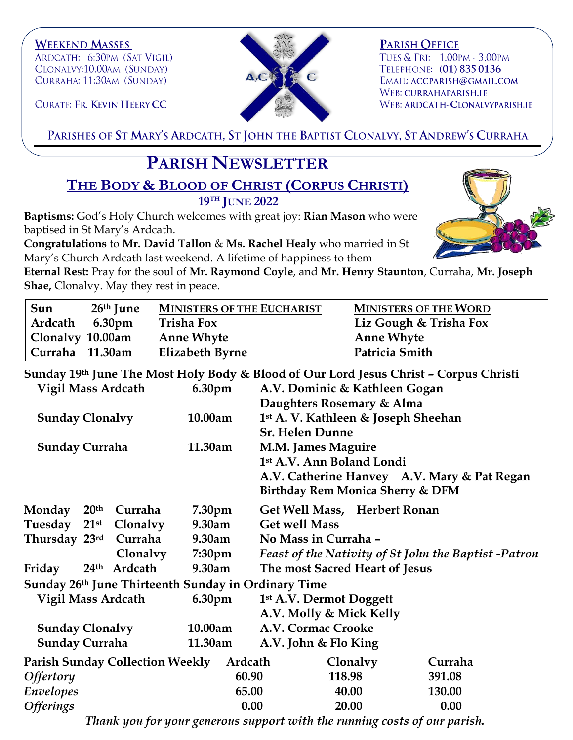**WEEKEND MASSES** ARDCATH: 6:30PM (SAT VIGIL) CLONALVY:10.00AM (SUNDAY) CURRAHA: 11:30AM (SUNDAY)



**PARISH OFFICE** TUES & FRI: 1.00PM - 3.00PM TELEPHONE: (01) 835 0136 EMAIL: ACCPARISH@GMAIL.COM WEB: CURRAHAPARISH.IE WEB: ARDCATH-CLONALVYPARISH.IE

CURATE: FR. KEVIN HEERY CC

PARISHES OF ST MARY'S ARDCATH, ST JOHN THE BAPTIST CLONALVY, ST ANDREW'S CURRAHA

## **PARISH NEWSLETTER**

**THE BODY & BLOOD OF CHRIST (CORPUS CHRISTI) 19TH JUNE 2022**

**Baptisms:** God's Holy Church welcomes with great joy: **Rian Mason** who were baptised in St Mary's Ardcath.

**Congratulations** to **Mr. David Tallon** & **Ms. Rachel Healy** who married in St Mary's Church Ardcath last weekend. A lifetime of happiness to them



**Eternal Rest:** Pray for the soul of **Mr. Raymond Coyle**, and **Mr. Henry Staunton**, Curraha, **Mr. Joseph Shae,** Clonalvy. May they rest in peace.

| Sun              | 26 <sup>th</sup> June | <b>MINISTERS OF THE EUCHARIST</b> | <b>MINISTERS OF THE WORD</b> |
|------------------|-----------------------|-----------------------------------|------------------------------|
| Ardcath          | 6.30pm                | <b>Trisha Fox</b>                 | Liz Gough & Trisha Fox       |
| Clonalvy 10.00am |                       | <b>Anne Whyte</b>                 | <b>Anne Whyte</b>            |
| Curraha 11.30am  |                       | Elizabeth Byrne                   | Patricia Smith               |

| Sunday 19th June The Most Holy Body & Blood of Our Lord Jesus Christ - Corpus Christi |                    |                                                      |  |  |  |
|---------------------------------------------------------------------------------------|--------------------|------------------------------------------------------|--|--|--|
| <b>Vigil Mass Ardcath</b>                                                             | 6.30 <sub>pm</sub> | A.V. Dominic & Kathleen Gogan                        |  |  |  |
|                                                                                       |                    | Daughters Rosemary & Alma                            |  |  |  |
| <b>Sunday Clonalvy</b>                                                                | 10.00am            | 1 <sup>st</sup> A. V. Kathleen & Joseph Sheehan      |  |  |  |
|                                                                                       |                    | <b>Sr. Helen Dunne</b>                               |  |  |  |
| <b>Sunday Curraha</b>                                                                 | 11.30am            | <b>M.M. James Maguire</b>                            |  |  |  |
|                                                                                       |                    | 1st A.V. Ann Boland Londi                            |  |  |  |
|                                                                                       |                    | A.V. Catherine Hanvey A.V. Mary & Pat Regan          |  |  |  |
|                                                                                       |                    | Birthday Rem Monica Sherry & DFM                     |  |  |  |
| Monday<br>20 <sup>th</sup><br>Curraha                                                 | 7.30 <sub>pm</sub> | Get Well Mass, Herbert Ronan                         |  |  |  |
| Tuesday 21st<br><b>Clonalvy</b>                                                       | 9.30am             | <b>Get well Mass</b>                                 |  |  |  |
| Thursday 23rd<br>Curraha                                                              | 9.30am             | No Mass in Curraha -                                 |  |  |  |
| Clonalvy                                                                              | 7:30 <sub>pm</sub> | Feast of the Nativity of St John the Baptist -Patron |  |  |  |
| 24th Ardcath<br>Friday                                                                | 9.30am             | The most Sacred Heart of Jesus                       |  |  |  |
| Sunday 26th June Thirteenth Sunday in Ordinary Time                                   |                    |                                                      |  |  |  |
| <b>Vigil Mass Ardcath</b>                                                             | 6.30pm             | 1st A.V. Dermot Doggett                              |  |  |  |
|                                                                                       |                    | A.V. Molly & Mick Kelly                              |  |  |  |
| <b>Sunday Clonalvy</b>                                                                | 10.00am            | A.V. Cormac Crooke                                   |  |  |  |
| <b>Sunday Curraha</b>                                                                 | 11.30am            | A.V. John & Flo King                                 |  |  |  |
| Parish Sunday Collection Weekly Ardcath                                               |                    | Clonalvy<br>Curraha                                  |  |  |  |
| <b>Offertory</b>                                                                      | 60.90              | 118.98<br>391.08                                     |  |  |  |
| <b>Envelopes</b>                                                                      | 65.00              | 40.00<br>130.00                                      |  |  |  |
| <b>Offerings</b>                                                                      | 0.00               | 0.00<br>20.00                                        |  |  |  |

*Thank you for your generous support with the running costs of our parish.*